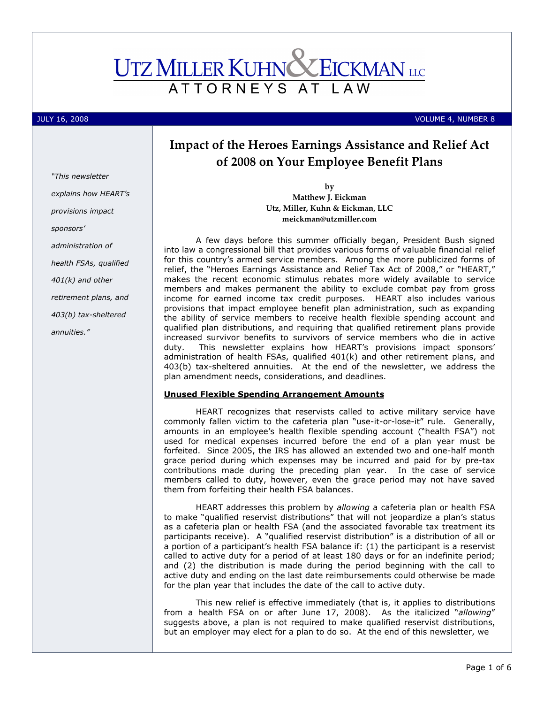# **UTZ MILLER KUHN CEICKMAN** LLC ATTORNEYS AT L A W

JULY 16, 2008 VOLUME 4, NUMBER 8

# Impact of the Heroes Earnings Assistance and Relief Act of 2008 on Your Employee Benefit Plans

by

Matthew J. Eickman Utz, Miller, Kuhn & Eickman, LLC meickman@utzmiller.com

A few days before this summer officially began, President Bush signed into law a congressional bill that provides various forms of valuable financial relief for this country's armed service members. Among the more publicized forms of relief, the "Heroes Earnings Assistance and Relief Tax Act of 2008," or "HEART," makes the recent economic stimulus rebates more widely available to service members and makes permanent the ability to exclude combat pay from gross income for earned income tax credit purposes. HEART also includes various provisions that impact employee benefit plan administration, such as expanding the ability of service members to receive health flexible spending account and qualified plan distributions, and requiring that qualified retirement plans provide increased survivor benefits to survivors of service members who die in active duty. This newsletter explains how HEART's provisions impact sponsors' administration of health FSAs, qualified 401(k) and other retirement plans, and 403(b) tax-sheltered annuities. At the end of the newsletter, we address the plan amendment needs, considerations, and deadlines.

# Unused Flexible Spending Arrangement Amounts

HEART recognizes that reservists called to active military service have commonly fallen victim to the cafeteria plan "use-it-or-lose-it" rule. Generally, amounts in an employee's health flexible spending account ("health FSA") not used for medical expenses incurred before the end of a plan year must be forfeited. Since 2005, the IRS has allowed an extended two and one-half month grace period during which expenses may be incurred and paid for by pre-tax contributions made during the preceding plan year. In the case of service members called to duty, however, even the grace period may not have saved them from forfeiting their health FSA balances.

HEART addresses this problem by allowing a cafeteria plan or health FSA to make "qualified reservist distributions" that will not jeopardize a plan's status as a cafeteria plan or health FSA (and the associated favorable tax treatment its participants receive). A "qualified reservist distribution" is a distribution of all or a portion of a participant's health FSA balance if: (1) the participant is a reservist called to active duty for a period of at least 180 days or for an indefinite period; and (2) the distribution is made during the period beginning with the call to active duty and ending on the last date reimbursements could otherwise be made for the plan year that includes the date of the call to active duty.

This new relief is effective immediately (that is, it applies to distributions from a health FSA on or after June 17, 2008). As the italicized "allowing" suggests above, a plan is not required to make qualified reservist distributions, but an employer may elect for a plan to do so. At the end of this newsletter, we

"This newsletter explains how HEART's provisions impact sponsors' administration of health FSAs, qualified 401(k) and other retirement plans, and 403(b) tax-sheltered annuities."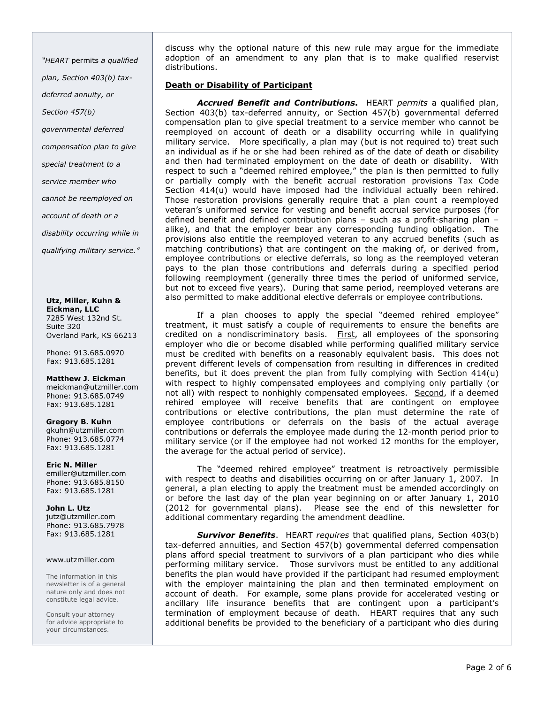"HEART permits a qualified plan, Section 403(b) taxdeferred annuity, or Section 457(b) governmental deferred compensation plan to give special treatment to a service member who cannot be reemployed on account of death or a disability occurring while in

qualifying military service."

Utz, Miller, Kuhn & Eickman, LLC 7285 West 132nd St. Suite 320 Overland Park, KS 66213

Phone: 913.685.0970 Fax: 913.685.1281

Matthew J. Eickman meickman@utzmiller.com Phone: 913.685.0749 Fax: 913.685.1281

Gregory B. Kuhn gkuhn@utzmiller.com Phone: 913.685.0774 Fax: 913.685.1281

Eric N. Miller emiller@utzmiller.com Phone: 913.685.8150 Fax: 913.685.1281

John L. Utz jutz@utzmiller.com Phone: 913.685.7978 Fax: 913.685.1281

#### www.utzmiller.com

The information in this newsletter is of a general nature only and does not constitute legal advice.

Consult your attorney for advice appropriate to your circumstances.

discuss why the optional nature of this new rule may argue for the immediate adoption of an amendment to any plan that is to make qualified reservist distributions.

# Death or Disability of Participant

Accrued Benefit and Contributions. HEART permits a qualified plan, Section 403(b) tax-deferred annuity, or Section 457(b) governmental deferred compensation plan to give special treatment to a service member who cannot be reemployed on account of death or a disability occurring while in qualifying military service. More specifically, a plan may (but is not required to) treat such an individual as if he or she had been rehired as of the date of death or disability and then had terminated employment on the date of death or disability. With respect to such a "deemed rehired employee," the plan is then permitted to fully or partially comply with the benefit accrual restoration provisions Tax Code Section 414(u) would have imposed had the individual actually been rehired. Those restoration provisions generally require that a plan count a reemployed veteran's uniformed service for vesting and benefit accrual service purposes (for defined benefit and defined contribution plans – such as a profit-sharing plan – alike), and that the employer bear any corresponding funding obligation. The provisions also entitle the reemployed veteran to any accrued benefits (such as matching contributions) that are contingent on the making of, or derived from, employee contributions or elective deferrals, so long as the reemployed veteran pays to the plan those contributions and deferrals during a specified period following reemployment (generally three times the period of uniformed service, but not to exceed five years). During that same period, reemployed veterans are also permitted to make additional elective deferrals or employee contributions.

If a plan chooses to apply the special "deemed rehired employee" treatment, it must satisfy a couple of requirements to ensure the benefits are credited on a nondiscriminatory basis. First, all employees of the sponsoring employer who die or become disabled while performing qualified military service must be credited with benefits on a reasonably equivalent basis. This does not prevent different levels of compensation from resulting in differences in credited benefits, but it does prevent the plan from fully complying with Section 414(u) with respect to highly compensated employees and complying only partially (or not all) with respect to nonhighly compensated employees. Second, if a deemed rehired employee will receive benefits that are contingent on employee contributions or elective contributions, the plan must determine the rate of employee contributions or deferrals on the basis of the actual average contributions or deferrals the employee made during the 12-month period prior to military service (or if the employee had not worked 12 months for the employer, the average for the actual period of service).

The "deemed rehired employee" treatment is retroactively permissible with respect to deaths and disabilities occurring on or after January 1, 2007. In general, a plan electing to apply the treatment must be amended accordingly on or before the last day of the plan year beginning on or after January 1, 2010 (2012 for governmental plans). Please see the end of this newsletter for additional commentary regarding the amendment deadline.

**Survivor Benefits.** HEART requires that qualified plans, Section 403(b) tax-deferred annuities, and Section 457(b) governmental deferred compensation plans afford special treatment to survivors of a plan participant who dies while performing military service. Those survivors must be entitled to any additional benefits the plan would have provided if the participant had resumed employment with the employer maintaining the plan and then terminated employment on account of death. For example, some plans provide for accelerated vesting or ancillary life insurance benefits that are contingent upon a participant's termination of employment because of death. HEART requires that any such additional benefits be provided to the beneficiary of a participant who dies during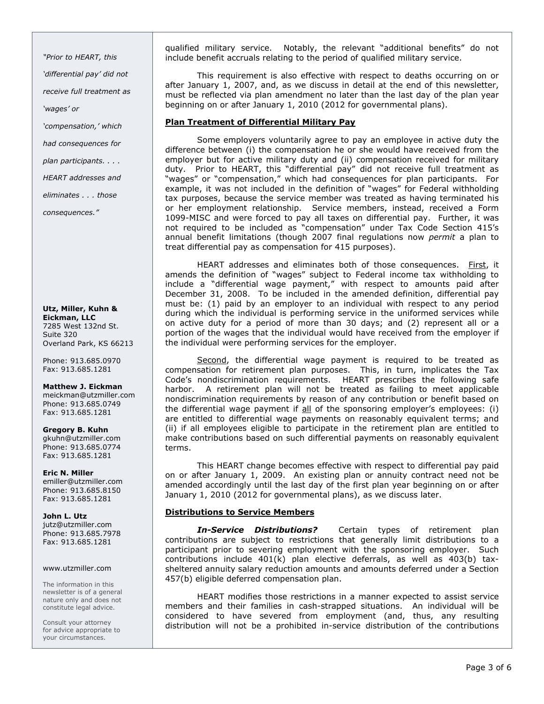"Prior to HEART, this 'differential pay' did not receive full treatment as 'wages' or 'compensation,' which had consequences for plan participants. . . . HEART addresses and eliminates . . . those

consequences."

Utz, Miller, Kuhn & Eickman, LLC 7285 West 132nd St. Suite 320 Overland Park, KS 66213

Phone: 913.685.0970 Fax: 913.685.1281

# Matthew J. Eickman

meickman@utzmiller.com Phone: 913.685.0749 Fax: 913.685.1281

#### Gregory B. Kuhn gkuhn@utzmiller.com Phone: 913.685.0774

Fax: 913.685.1281

# Eric N. Miller

emiller@utzmiller.com Phone: 913.685.8150 Fax: 913.685.1281

# John L. Utz

jutz@utzmiller.com Phone: 913.685.7978 Fax: 913.685.1281

# www.utzmiller.com

The information in this newsletter is of a general nature only and does not constitute legal advice.

Consult your attorney for advice appropriate to your circumstances.

qualified military service. Notably, the relevant "additional benefits" do not include benefit accruals relating to the period of qualified military service.

This requirement is also effective with respect to deaths occurring on or after January 1, 2007, and, as we discuss in detail at the end of this newsletter, must be reflected via plan amendment no later than the last day of the plan year beginning on or after January 1, 2010 (2012 for governmental plans).

# Plan Treatment of Differential Military Pay

Some employers voluntarily agree to pay an employee in active duty the difference between (i) the compensation he or she would have received from the employer but for active military duty and (ii) compensation received for military duty. Prior to HEART, this "differential pay" did not receive full treatment as "wages" or "compensation," which had consequences for plan participants. For example, it was not included in the definition of "wages" for Federal withholding tax purposes, because the service member was treated as having terminated his or her employment relationship. Service members, instead, received a Form 1099-MISC and were forced to pay all taxes on differential pay. Further, it was not required to be included as "compensation" under Tax Code Section 415's annual benefit limitations (though 2007 final regulations now permit a plan to treat differential pay as compensation for 415 purposes).

HEART addresses and eliminates both of those consequences. First, it amends the definition of "wages" subject to Federal income tax withholding to include a "differential wage payment," with respect to amounts paid after December 31, 2008. To be included in the amended definition, differential pay must be: (1) paid by an employer to an individual with respect to any period during which the individual is performing service in the uniformed services while on active duty for a period of more than 30 days; and (2) represent all or a portion of the wages that the individual would have received from the employer if the individual were performing services for the employer.

Second, the differential wage payment is required to be treated as compensation for retirement plan purposes. This, in turn, implicates the Tax Code's nondiscrimination requirements. HEART prescribes the following safe harbor. A retirement plan will not be treated as failing to meet applicable nondiscrimination requirements by reason of any contribution or benefit based on the differential wage payment if all of the sponsoring employer's employees: (i) are entitled to differential wage payments on reasonably equivalent terms; and (ii) if all employees eligible to participate in the retirement plan are entitled to make contributions based on such differential payments on reasonably equivalent terms.

This HEART change becomes effective with respect to differential pay paid on or after January 1, 2009. An existing plan or annuity contract need not be amended accordingly until the last day of the first plan year beginning on or after January 1, 2010 (2012 for governmental plans), as we discuss later.

# Distributions to Service Members

In-Service Distributions? Certain types of retirement plan contributions are subject to restrictions that generally limit distributions to a participant prior to severing employment with the sponsoring employer. Such contributions include 401(k) plan elective deferrals, as well as 403(b) taxsheltered annuity salary reduction amounts and amounts deferred under a Section 457(b) eligible deferred compensation plan.

HEART modifies those restrictions in a manner expected to assist service members and their families in cash-strapped situations. An individual will be considered to have severed from employment (and, thus, any resulting distribution will not be a prohibited in-service distribution of the contributions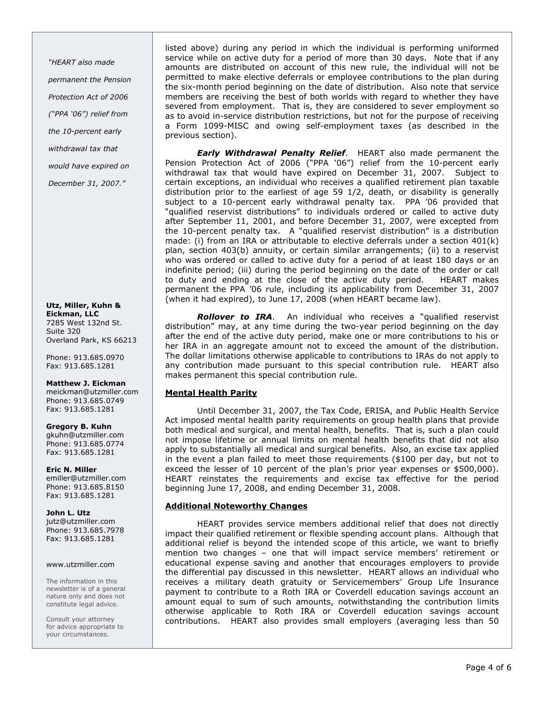"HEART also made permanent the Pension Protection Act of 2006 ("PPA '06") relief from the 10-percent early withdrawal tax that would have expired on December 31, 2007."

Utz, Miller, Kuhn & Eickman, LLC 7285 West 132nd St. Suite 320 Overland Park, KS 66213

Phone: 913.685.0970 Fax: 913.685.1281

# Matthew J. Eickman

meickman@utzmiller.com Phone: 913.685.0749 Fax: 913.685.1281

#### Gregory B. Kuhn

gkuhn@utzmiller.com Phone: 913.685.0774 Fax: 913.685.1281

# Eric N. Miller

emiller@utzmiller.com Phone: 913.685.8150 Fax: 913.685.1281

#### John L. Utz

jutz@utzmiller.com Phone: 913.685.7978 Fax: 913.685.1281

#### www.utzmiller.com

The information in this newsletter is of a general nature only and does not constitute legal advice.

Consult your attorney for advice appropriate to your circumstances.

listed above) during any period in which the individual is performing uniformed service while on active duty for a period of more than 30 days. Note that if any amounts are distributed on account of this new rule, the individual will not be permitted to make elective deferrals or employee contributions to the plan during the six-month period beginning on the date of distribution. Also note that service members are receiving the best of both worlds with regard to whether they have severed from employment. That is, they are considered to sever employment so as to avoid in-service distribution restrictions, but not for the purpose of receiving a Form 1099-MISC and owing self-employment taxes (as described in the previous section).

**Early Withdrawal Penalty Relief.** HEART also made permanent the Pension Protection Act of 2006 ("PPA '06") relief from the 10-percent early withdrawal tax that would have expired on December 31, 2007. Subject to certain exceptions, an individual who receives a qualified retirement plan taxable distribution prior to the earliest of age 59 1/2, death, or disability is generally subject to a 10-percent early withdrawal penalty tax. PPA '06 provided that "qualified reservist distributions" to individuals ordered or called to active duty after September 11, 2001, and before December 31, 2007, were excepted from the 10-percent penalty tax. A "qualified reservist distribution" is a distribution made: (i) from an IRA or attributable to elective deferrals under a section 401(k) plan, section 403(b) annuity, or certain similar arrangements; (ii) to a reservist who was ordered or called to active duty for a period of at least 180 days or an indefinite period; (iii) during the period beginning on the date of the order or call to duty and ending at the close of the active duty period. HEART makes permanent the PPA '06 rule, including its applicability from December 31, 2007 (when it had expired), to June 17, 2008 (when HEART became law).

Rollover to IRA. An individual who receives a "qualified reservist distribution" may, at any time during the two-year period beginning on the day after the end of the active duty period, make one or more contributions to his or her IRA in an aggregate amount not to exceed the amount of the distribution. The dollar limitations otherwise applicable to contributions to IRAs do not apply to any contribution made pursuant to this special contribution rule. HEART also makes permanent this special contribution rule.

# Mental Health Parity

Until December 31, 2007, the Tax Code, ERISA, and Public Health Service Act imposed mental health parity requirements on group health plans that provide both medical and surgical, and mental health, benefits. That is, such a plan could not impose lifetime or annual limits on mental health benefits that did not also apply to substantially all medical and surgical benefits. Also, an excise tax applied in the event a plan failed to meet those requirements (\$100 per day, but not to exceed the lesser of 10 percent of the plan's prior year expenses or \$500,000). HEART reinstates the requirements and excise tax effective for the period beginning June 17, 2008, and ending December 31, 2008.

# Additional Noteworthy Changes

HEART provides service members additional relief that does not directly impact their qualified retirement or flexible spending account plans. Although that additional relief is beyond the intended scope of this article, we want to briefly mention two changes – one that will impact service members' retirement or educational expense saving and another that encourages employers to provide the differential pay discussed in this newsletter. HEART allows an individual who receives a military death gratuity or Servicemembers' Group Life Insurance payment to contribute to a Roth IRA or Coverdell education savings account an amount equal to sum of such amounts, notwithstanding the contribution limits otherwise applicable to Roth IRA or Coverdell education savings account contributions. HEART also provides small employers (averaging less than 50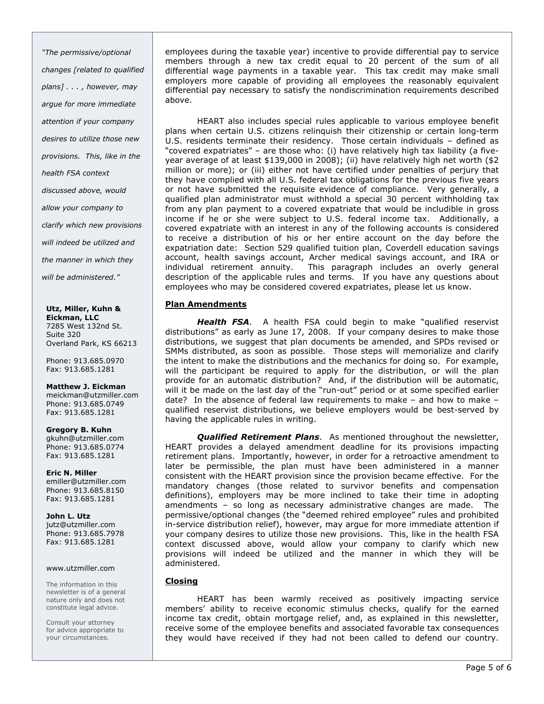"The permissive/optional changes [related to qualified plans] . . . , however, may argue for more immediate attention if your company desires to utilize those new provisions. This, like in the health FSA context discussed above, would allow your company to clarify which new provisions will indeed be utilized and the manner in which they will be administered."

Utz, Miller, Kuhn & Eickman, LLC 7285 West 132nd St. Suite 320 Overland Park, KS 66213

Phone: 913.685.0970 Fax: 913.685.1281

#### Matthew J. Eickman

meickman@utzmiller.com Phone: 913.685.0749 Fax: 913.685.1281

# Gregory B. Kuhn

gkuhn@utzmiller.com Phone: 913.685.0774 Fax: 913.685.1281

### Eric N. Miller

emiller@utzmiller.com Phone: 913.685.8150 Fax: 913.685.1281

John L. Utz

jutz@utzmiller.com Phone: 913.685.7978 Fax: 913.685.1281

#### www.utzmiller.com

The information in this newsletter is of a general nature only and does not constitute legal advice.

Consult your attorney for advice appropriate to your circumstances.

employees during the taxable year) incentive to provide differential pay to service members through a new tax credit equal to 20 percent of the sum of all differential wage payments in a taxable year. This tax credit may make small employers more capable of providing all employees the reasonably equivalent differential pay necessary to satisfy the nondiscrimination requirements described above.

HEART also includes special rules applicable to various employee benefit plans when certain U.S. citizens relinquish their citizenship or certain long-term U.S. residents terminate their residency. Those certain individuals – defined as "covered expatriates" – are those who: (i) have relatively high tax liability (a fiveyear average of at least \$139,000 in 2008); (ii) have relatively high net worth (\$2 million or more); or (iii) either not have certified under penalties of perjury that they have complied with all U.S. federal tax obligations for the previous five years or not have submitted the requisite evidence of compliance. Very generally, a qualified plan administrator must withhold a special 30 percent withholding tax from any plan payment to a covered expatriate that would be includible in gross income if he or she were subject to U.S. federal income tax. Additionally, a covered expatriate with an interest in any of the following accounts is considered to receive a distribution of his or her entire account on the day before the expatriation date: Section 529 qualified tuition plan, Coverdell education savings account, health savings account, Archer medical savings account, and IRA or individual retirement annuity. This paragraph includes an overly general description of the applicable rules and terms. If you have any questions about employees who may be considered covered expatriates, please let us know.

# Plan Amendments

Health FSA. A health FSA could begin to make "qualified reservist distributions" as early as June 17, 2008. If your company desires to make those distributions, we suggest that plan documents be amended, and SPDs revised or SMMs distributed, as soon as possible. Those steps will memorialize and clarify the intent to make the distributions and the mechanics for doing so. For example, will the participant be required to apply for the distribution, or will the plan provide for an automatic distribution? And, if the distribution will be automatic, will it be made on the last day of the "run-out" period or at some specified earlier date? In the absence of federal law requirements to make – and how to make – qualified reservist distributions, we believe employers would be best-served by having the applicable rules in writing.

Qualified Retirement Plans. As mentioned throughout the newsletter, HEART provides a delayed amendment deadline for its provisions impacting retirement plans. Importantly, however, in order for a retroactive amendment to later be permissible, the plan must have been administered in a manner consistent with the HEART provision since the provision became effective. For the mandatory changes (those related to survivor benefits and compensation definitions), employers may be more inclined to take their time in adopting amendments – so long as necessary administrative changes are made. The permissive/optional changes (the "deemed rehired employee" rules and prohibited in-service distribution relief), however, may argue for more immediate attention if your company desires to utilize those new provisions. This, like in the health FSA context discussed above, would allow your company to clarify which new provisions will indeed be utilized and the manner in which they will be administered.

# Closing

HEART has been warmly received as positively impacting service members' ability to receive economic stimulus checks, qualify for the earned income tax credit, obtain mortgage relief, and, as explained in this newsletter, receive some of the employee benefits and associated favorable tax consequences they would have received if they had not been called to defend our country.